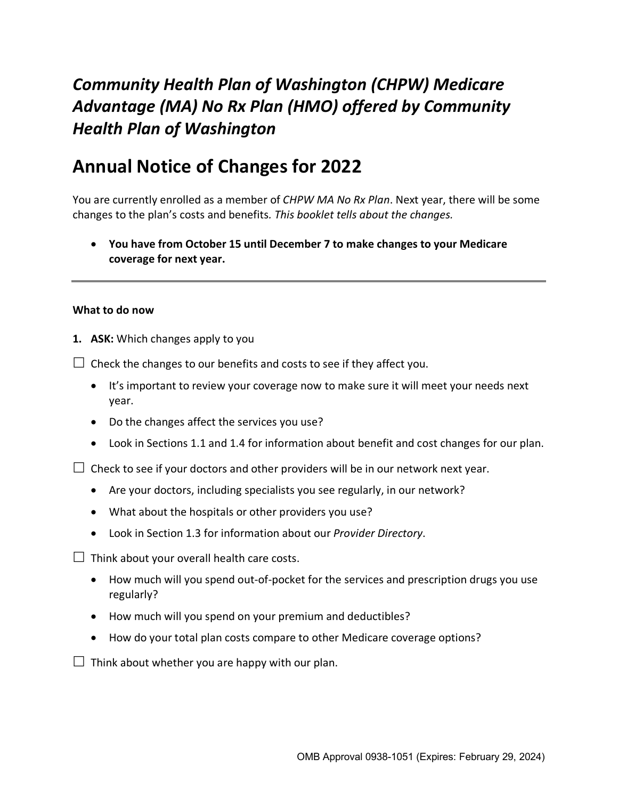# *Community Health Plan of Washington (CHPW) Medicare Advantage (MA) No Rx Plan (HMO) offered by Community Health Plan of Washington*

# **Annual Notice of Changes for 2022**

You are currently enrolled as a member of *CHPW MA No Rx Plan*. Next year, there will be some changes to the plan's costs and benefits*. This booklet tells about the changes.*

• **You have from October 15 until December 7 to make changes to your Medicare coverage for next year.**

## **What to do now**

**1. ASK:** Which changes apply to you

 $\Box$  Check the changes to our benefits and costs to see if they affect you.

- It's important to review your coverage now to make sure it will meet your needs next year.
- Do the changes affect the services you use?
- Look in Sections 1.1 and 1.4 for information about benefit and cost changes for our plan.

 $\Box$  Check to see if your doctors and other providers will be in our network next year.

- Are your doctors, including specialists you see regularly, in our network?
- What about the hospitals or other providers you use?
- Look in Section 1.3 for information about our *Provider Directory*.

 $\Box$  Think about your overall health care costs.

- How much will you spend out-of-pocket for the services and prescription drugs you use regularly?
- How much will you spend on your premium and deductibles?
- How do your total plan costs compare to other Medicare coverage options?

 $\Box$  Think about whether you are happy with our plan.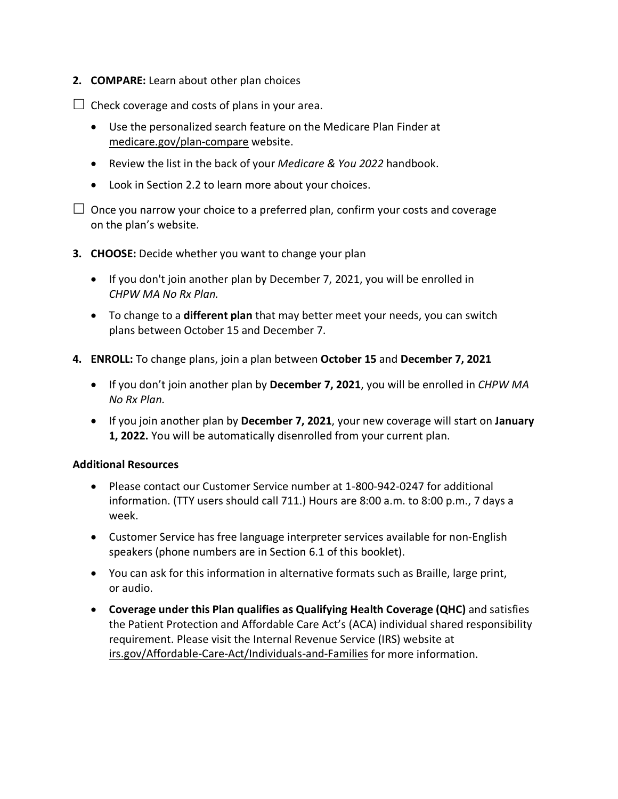**2. COMPARE:** Learn about other plan choices

 $\Box$  Check coverage and costs of plans in your area.

- Use the personalized search feature on the Medicare Plan Finder at [medicare.gov/plan-compare](http://www.medicare.gov/plan-compare) website.
- Review the list in the back of your *Medicare & You 2022* handbook.
- Look in Section 2.2 to learn more about your choices.

 $\Box$  Once you narrow your choice to a preferred plan, confirm your costs and coverage on the plan's website.

- **3. CHOOSE:** Decide whether you want to change your plan
	- If you don't join another plan by December 7, 2021, you will be enrolled in *CHPW MA No Rx Plan.*
	- To change to a **different plan** that may better meet your needs, you can switch plans between October 15 and December 7.
- **4. ENROLL:** To change plans, join a plan between **October 15** and **December 7, 2021**
	- If you don't join another plan by **December 7, 2021**, you will be enrolled in *CHPW MA No Rx Plan.*
	- If you join another plan by **December 7, 2021**, your new coverage will start on **January 1, 2022.** You will be automatically disenrolled from your current plan.

## **Additional Resources**

- Please contact our Customer Service number at 1-800-942-0247 for additional information. (TTY users should call 711.) Hours are 8:00 a.m. to 8:00 p.m., 7 days a week.
- Customer Service has free language interpreter services available for non-English speakers (phone numbers are in Section 6.1 of this booklet).
- You can ask for this information in alternative formats such as Braille, large print, or audio.
- **Coverage under this Plan qualifies as Qualifying Health Coverage (QHC)** and satisfies the Patient Protection and Affordable Care Act's (ACA) individual shared responsibility requirement. Please visit the Internal Revenue Service (IRS) website at [irs.gov/Affordable-Care-Act/Individuals-and-Families](http://www.irs.gov/Affordable-Care-Act/Individuals-and-Families) for more information.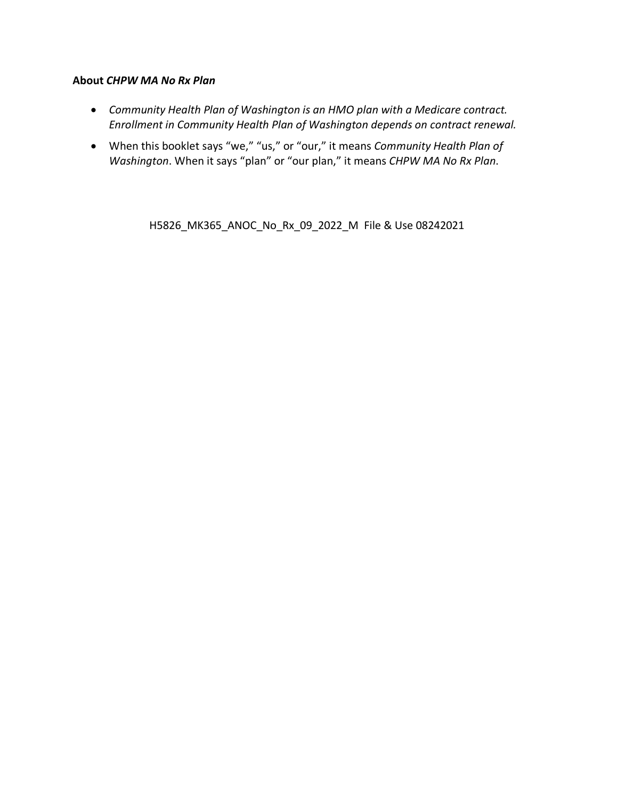## **About** *CHPW MA No Rx Plan*

- *Community Health Plan of Washington is an HMO plan with a Medicare contract. Enrollment in Community Health Plan of Washington depends on contract renewal.*
- When this booklet says "we," "us," or "our," it means *Community Health Plan of Washington*. When it says "plan" or "our plan," it means *CHPW MA No Rx Plan*.

H5826\_MK365\_ANOC\_No\_Rx\_09\_2022\_M File & Use 08242021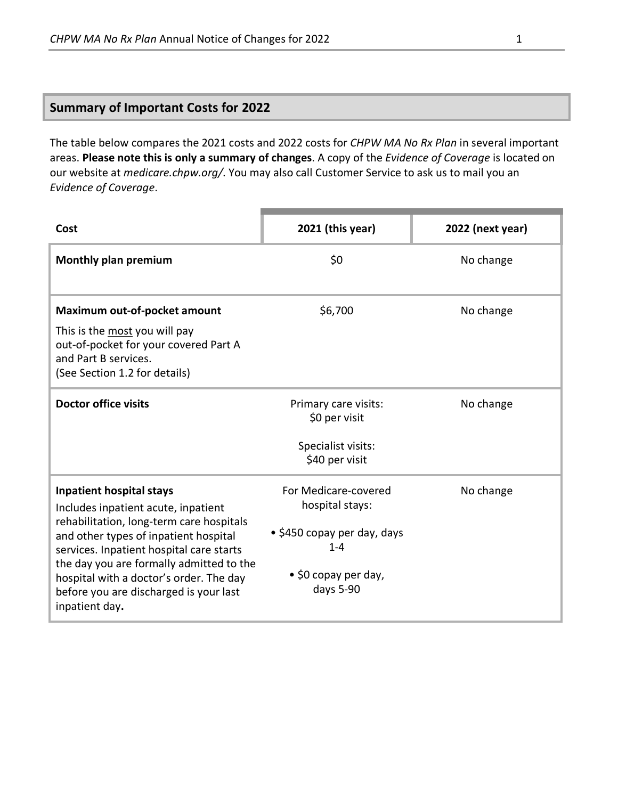# **Summary of Important Costs for 2022**

The table below compares the 2021 costs and 2022 costs for *CHPW MA No Rx Plan* in several important areas. **Please note this is only a summary of changes**. A copy of the *Evidence of Coverage* is located on our website at *medicare.chpw.org/*. You may also call Customer Service to ask us to mail you an *Evidence of Coverage*.

| Cost                                                                                                                                            | 2021 (this year)                        | 2022 (next year) |
|-------------------------------------------------------------------------------------------------------------------------------------------------|-----------------------------------------|------------------|
| <b>Monthly plan premium</b>                                                                                                                     | \$0                                     | No change        |
| Maximum out-of-pocket amount<br>This is the most you will pay<br>out-of-pocket for your covered Part A<br>and Part B services.                  | \$6,700                                 | No change        |
| (See Section 1.2 for details)                                                                                                                   |                                         |                  |
| <b>Doctor office visits</b>                                                                                                                     | Primary care visits:<br>\$0 per visit   | No change        |
|                                                                                                                                                 | Specialist visits:<br>\$40 per visit    |                  |
| <b>Inpatient hospital stays</b><br>Includes inpatient acute, inpatient                                                                          | For Medicare-covered<br>hospital stays: | No change        |
| rehabilitation, long-term care hospitals<br>and other types of inpatient hospital<br>services. Inpatient hospital care starts                   | • \$450 copay per day, days<br>$1 - 4$  |                  |
| the day you are formally admitted to the<br>hospital with a doctor's order. The day<br>before you are discharged is your last<br>inpatient day. | • \$0 copay per day,<br>days 5-90       |                  |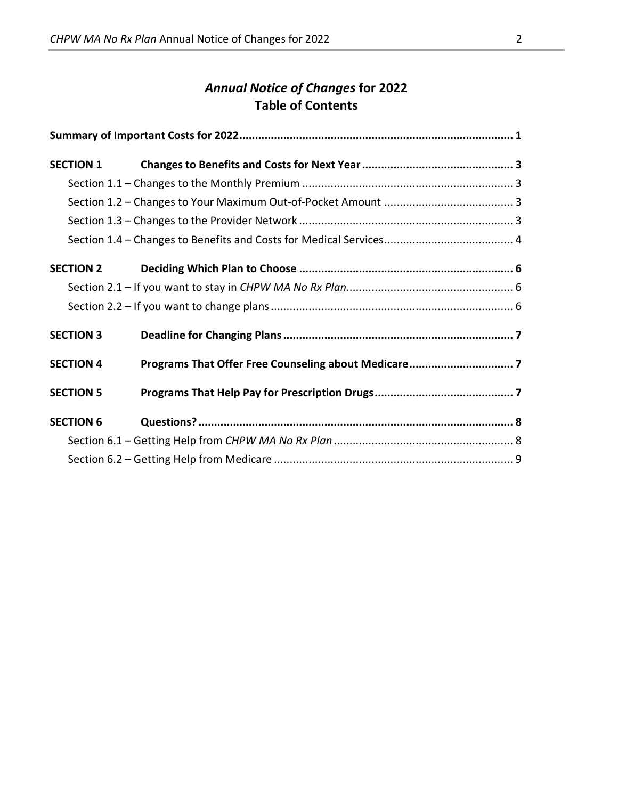# *Annual Notice of Changes* **for 2022 Table of Contents**

| <b>SECTION 1</b> |  |  |
|------------------|--|--|
|                  |  |  |
|                  |  |  |
|                  |  |  |
|                  |  |  |
| <b>SECTION 2</b> |  |  |
|                  |  |  |
|                  |  |  |
| <b>SECTION 3</b> |  |  |
| <b>SECTION 4</b> |  |  |
| <b>SECTION 5</b> |  |  |
| <b>SECTION 6</b> |  |  |
|                  |  |  |
|                  |  |  |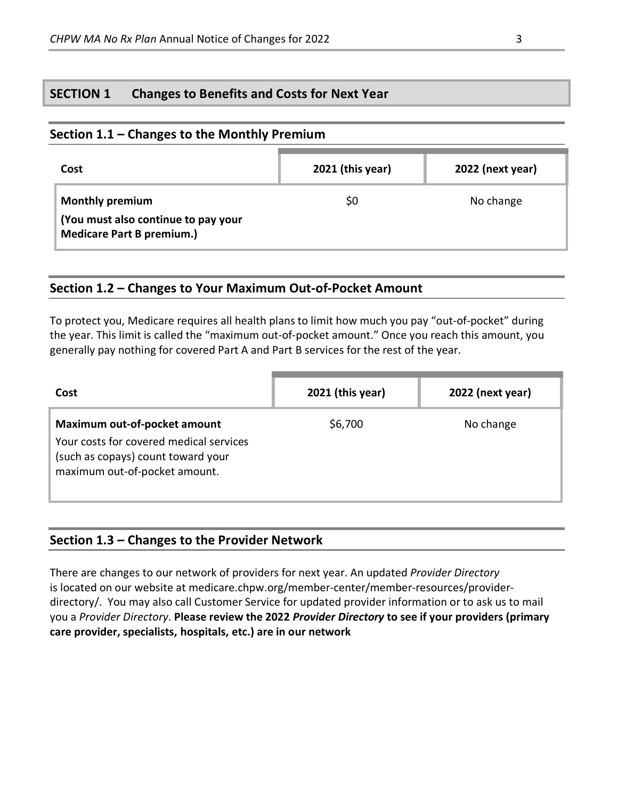## **SECTION 1 Changes to Benefits and Costs for Next Year**

## **Section 1.1 – Changes to the Monthly Premium**

| Cost                                                                                              | 2021 (this year) | 2022 (next year) |
|---------------------------------------------------------------------------------------------------|------------------|------------------|
| <b>Monthly premium</b><br>(You must also continue to pay your<br><b>Medicare Part B premium.)</b> | \$0              | No change        |

## **Section 1.2 – Changes to Your Maximum Out-of-Pocket Amount**

To protect you, Medicare requires all health plans to limit how much you pay "out-of-pocket" during the year. This limit is called the "maximum out-of-pocket amount." Once you reach this amount, you generally pay nothing for covered Part A and Part B services for the rest of the year.

| Cost                                                                                                                                           | 2021 (this year) | 2022 (next year) |
|------------------------------------------------------------------------------------------------------------------------------------------------|------------------|------------------|
| Maximum out-of-pocket amount<br>Your costs for covered medical services<br>(such as copays) count toward your<br>maximum out-of-pocket amount. | \$6,700          | No change        |

# **Section 1.3 – Changes to the Provider Network**

There are changes to our network of providers for next year. An updated *Provider Directory* is located on our website at medicare.chpw.org/member-center/member-resources/providerdirectory/. You may also call Customer Service for updated provider information or to ask us to mail you a *Provider Directory*. **Please review the 2022** *Provider Directory* **to see if your providers (primary care provider, specialists, hospitals, etc.) are in our network**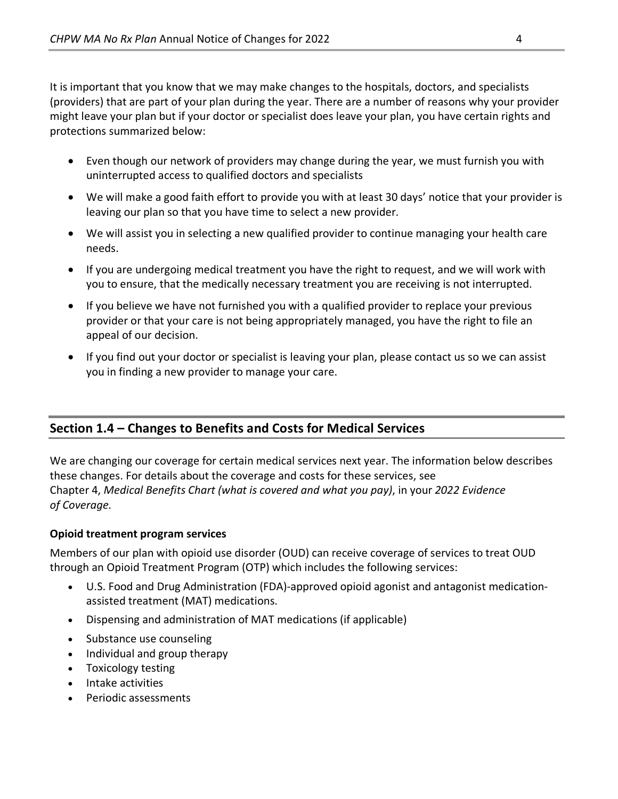It is important that you know that we may make changes to the hospitals, doctors, and specialists (providers) that are part of your plan during the year. There are a number of reasons why your provider might leave your plan but if your doctor or specialist does leave your plan, you have certain rights and protections summarized below:

- Even though our network of providers may change during the year, we must furnish you with uninterrupted access to qualified doctors and specialists
- We will make a good faith effort to provide you with at least 30 days' notice that your provider is leaving our plan so that you have time to select a new provider.
- We will assist you in selecting a new qualified provider to continue managing your health care needs.
- If you are undergoing medical treatment you have the right to request, and we will work with you to ensure, that the medically necessary treatment you are receiving is not interrupted.
- If you believe we have not furnished you with a qualified provider to replace your previous provider or that your care is not being appropriately managed, you have the right to file an appeal of our decision.
- If you find out your doctor or specialist is leaving your plan, please contact us so we can assist you in finding a new provider to manage your care.

# **Section 1.4 – Changes to Benefits and Costs for Medical Services**

We are changing our coverage for certain medical services next year. The information below describes these changes. For details about the coverage and costs for these services, see Chapter 4, *Medical Benefits Chart (what is covered and what you pay)*, in your *2022 Evidence of Coverage.*

## **Opioid treatment program services**

Members of our plan with opioid use disorder (OUD) can receive coverage of services to treat OUD through an Opioid Treatment Program (OTP) which includes the following services:

- U.S. Food and Drug Administration (FDA)-approved opioid agonist and antagonist medicationassisted treatment (MAT) medications.
- Dispensing and administration of MAT medications (if applicable)
- Substance use counseling
- Individual and group therapy
- Toxicology testing
- Intake activities
- Periodic assessments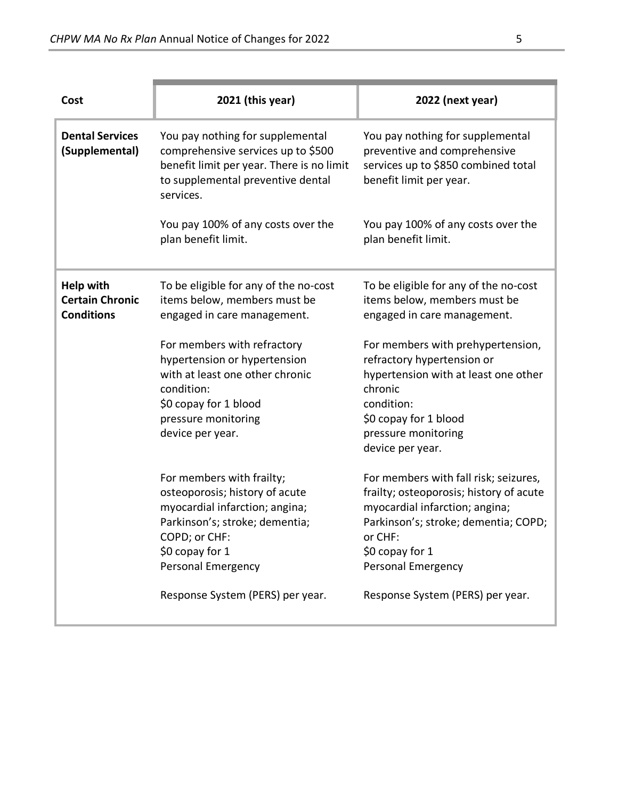| Cost                                                            | 2021 (this year)                                                                                                                                                                          | 2022 (next year)                                                                                                                                                                                                      |
|-----------------------------------------------------------------|-------------------------------------------------------------------------------------------------------------------------------------------------------------------------------------------|-----------------------------------------------------------------------------------------------------------------------------------------------------------------------------------------------------------------------|
| <b>Dental Services</b><br>(Supplemental)                        | You pay nothing for supplemental<br>comprehensive services up to \$500<br>benefit limit per year. There is no limit<br>to supplemental preventive dental<br>services.                     | You pay nothing for supplemental<br>preventive and comprehensive<br>services up to \$850 combined total<br>benefit limit per year.                                                                                    |
|                                                                 | You pay 100% of any costs over the<br>plan benefit limit.                                                                                                                                 | You pay 100% of any costs over the<br>plan benefit limit.                                                                                                                                                             |
| <b>Help with</b><br><b>Certain Chronic</b><br><b>Conditions</b> | To be eligible for any of the no-cost<br>items below, members must be<br>engaged in care management.                                                                                      | To be eligible for any of the no-cost<br>items below, members must be<br>engaged in care management.                                                                                                                  |
|                                                                 | For members with refractory<br>hypertension or hypertension<br>with at least one other chronic<br>condition:<br>\$0 copay for 1 blood<br>pressure monitoring<br>device per year.          | For members with prehypertension,<br>refractory hypertension or<br>hypertension with at least one other<br>chronic<br>condition:<br>\$0 copay for 1 blood<br>pressure monitoring<br>device per year.                  |
|                                                                 | For members with frailty;<br>osteoporosis; history of acute<br>myocardial infarction; angina;<br>Parkinson's; stroke; dementia;<br>COPD; or CHF:<br>\$0 copay for 1<br>Personal Emergency | For members with fall risk; seizures,<br>frailty; osteoporosis; history of acute<br>myocardial infarction; angina;<br>Parkinson's; stroke; dementia; COPD;<br>or CHF:<br>\$0 copay for 1<br><b>Personal Emergency</b> |
|                                                                 | Response System (PERS) per year.                                                                                                                                                          | Response System (PERS) per year.                                                                                                                                                                                      |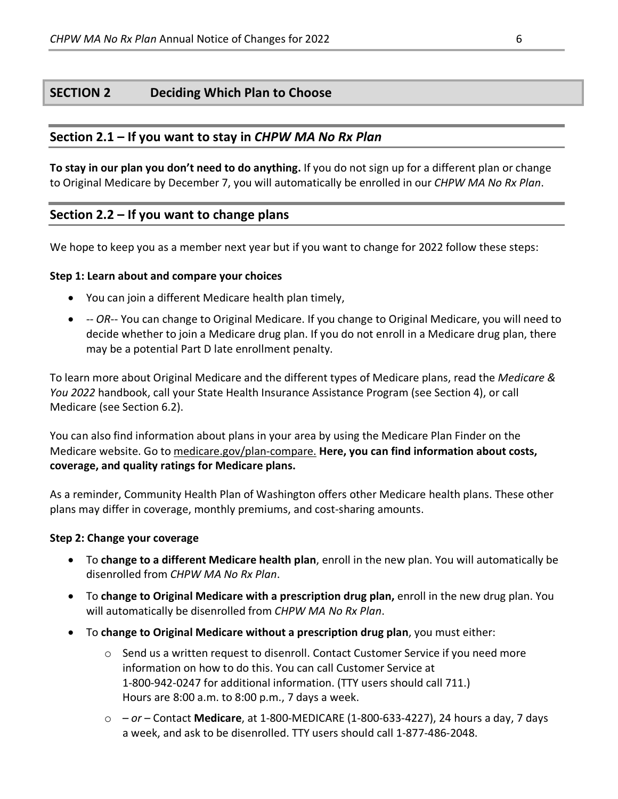## **SECTION 2 Deciding Which Plan to Choose**

## **Section 2.1 – If you want to stay in** *CHPW MA No Rx Plan*

**To stay in our plan you don't need to do anything.** If you do not sign up for a different plan or change to Original Medicare by December 7, you will automatically be enrolled in our *CHPW MA No Rx Plan*.

## **Section 2.2 – If you want to change plans**

We hope to keep you as a member next year but if you want to change for 2022 follow these steps:

#### **Step 1: Learn about and compare your choices**

- You can join a different Medicare health plan timely,
- *-- OR*-- You can change to Original Medicare. If you change to Original Medicare, you will need to decide whether to join a Medicare drug plan. If you do not enroll in a Medicare drug plan, there may be a potential Part D late enrollment penalty.

To learn more about Original Medicare and the different types of Medicare plans, read the *Medicare & You 2022* handbook, call your State Health Insurance Assistance Program (see Section 4), or call Medicare (see Section 6.2).

You can also find information about plans in your area by using the Medicare Plan Finder on the Medicare website. Go to [medicare.gov/plan-compare.](http://www.medicare.gov/plan-compare) **Here, you can find information about costs, coverage, and quality ratings for Medicare plans.**

As a reminder, Community Health Plan of Washington offers other Medicare health plans. These other plans may differ in coverage, monthly premiums, and cost-sharing amounts.

#### **Step 2: Change your coverage**

- To **change to a different Medicare health plan**, enroll in the new plan. You will automatically be disenrolled from *CHPW MA No Rx Plan*.
- To **change to Original Medicare with a prescription drug plan,** enroll in the new drug plan. You will automatically be disenrolled from *CHPW MA No Rx Plan*.
- To **change to Original Medicare without a prescription drug plan**, you must either:
	- $\circ$  Send us a written request to disenroll. Contact Customer Service if you need more information on how to do this. You can call Customer Service at 1-800-942-0247 for additional information. (TTY users should call 711.) Hours are 8:00 a.m. to 8:00 p.m., 7 days a week.
	- o  *or –* Contact **Medicare**, at 1-800-MEDICARE (1-800-633-4227), 24 hours a day, 7 days a week, and ask to be disenrolled. TTY users should call 1-877-486-2048.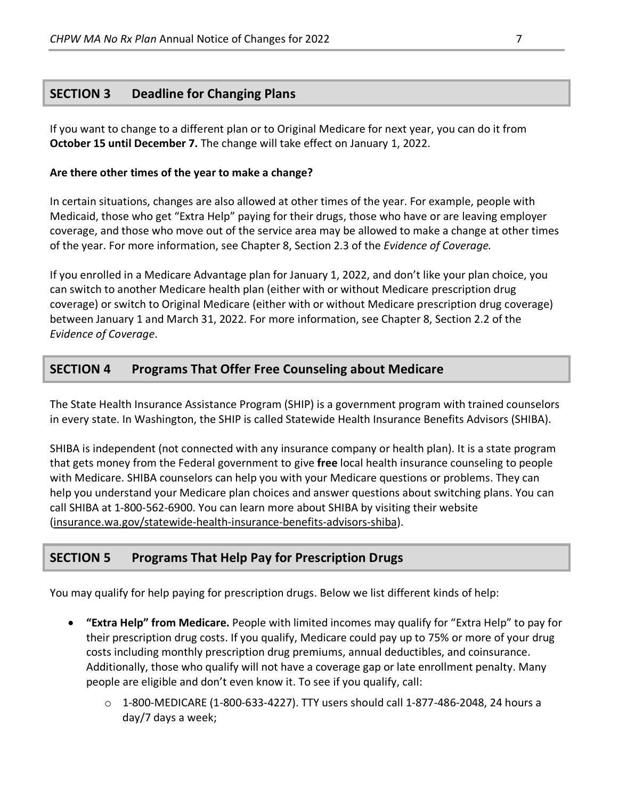# **SECTION 3 Deadline for Changing Plans**

If you want to change to a different plan or to Original Medicare for next year, you can do it from **October 15 until December 7.** The change will take effect on January 1, 2022.

## **Are there other times of the year to make a change?**

In certain situations, changes are also allowed at other times of the year. For example, people with Medicaid, those who get "Extra Help" paying for their drugs, those who have or are leaving employer coverage, and those who move out of the service area may be allowed to make a change at other times of the year. For more information, see Chapter 8, Section 2.3 of the *Evidence of Coverage.*

If you enrolled in a Medicare Advantage plan for January 1, 2022, and don't like your plan choice, you can switch to another Medicare health plan (either with or without Medicare prescription drug coverage) or switch to Original Medicare (either with or without Medicare prescription drug coverage) between January 1 and March 31, 2022. For more information, see Chapter 8, Section 2.2 of the *Evidence of Coverage*.

## **SECTION 4 Programs That Offer Free Counseling about Medicare**

The State Health Insurance Assistance Program (SHIP) is a government program with trained counselors in every state. In Washington, the SHIP is called Statewide Health Insurance Benefits Advisors (SHIBA).

SHIBA is independent (not connected with any insurance company or health plan). It is a state program that gets money from the Federal government to give **free** local health insurance counseling to people with Medicare. SHIBA counselors can help you with your Medicare questions or problems. They can help you understand your Medicare plan choices and answer questions about switching plans. You can call SHIBA at 1-800-562-6900. You can learn more about SHIBA by visiting their website [\(insurance.wa.gov/statewide-health-insurance-benefits-advisors-shiba\)](http://www.insurance.wa.gov/statewide-health-insurance-benefits-advisors-shiba).

# **SECTION 5 Programs That Help Pay for Prescription Drugs**

You may qualify for help paying for prescription drugs. Below we list different kinds of help:

- **"Extra Help" from Medicare.** People with limited incomes may qualify for "Extra Help" to pay for their prescription drug costs. If you qualify, Medicare could pay up to 75% or more of your drug costs including monthly prescription drug premiums, annual deductibles, and coinsurance. Additionally, those who qualify will not have a coverage gap or late enrollment penalty. Many people are eligible and don't even know it. To see if you qualify, call:
	- $\circ$  1-800-MEDICARE (1-800-633-4227). TTY users should call 1-877-486-2048, 24 hours a day/7 days a week;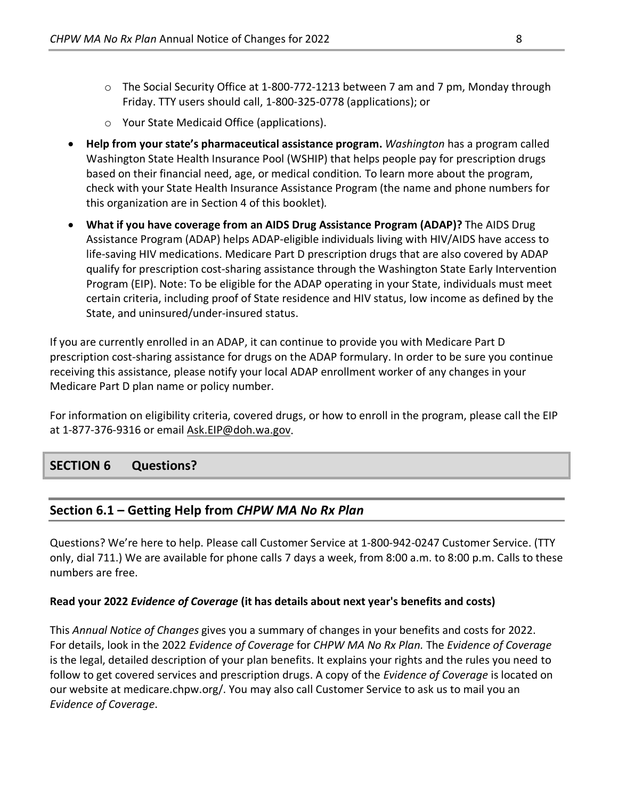- o The Social Security Office at 1-800-772-1213 between 7 am and 7 pm, Monday through Friday. TTY users should call, 1-800-325-0778 (applications); or
- o Your State Medicaid Office (applications).
- **Help from your state's pharmaceutical assistance program.** *Washington* has a program called Washington State Health Insurance Pool (WSHIP) that helps people pay for prescription drugs based on their financial need, age, or medical condition*.* To learn more about the program, check with your State Health Insurance Assistance Program (the name and phone numbers for this organization are in Section 4 of this booklet)*.*
- **What if you have coverage from an AIDS Drug Assistance Program (ADAP)?** The AIDS Drug Assistance Program (ADAP) helps ADAP-eligible individuals living with HIV/AIDS have access to life-saving HIV medications. Medicare Part D prescription drugs that are also covered by ADAP qualify for prescription cost-sharing assistance through the Washington State Early Intervention Program (EIP). Note: To be eligible for the ADAP operating in your State, individuals must meet certain criteria, including proof of State residence and HIV status, low income as defined by the State, and uninsured/under-insured status.

If you are currently enrolled in an ADAP, it can continue to provide you with Medicare Part D prescription cost-sharing assistance for drugs on the ADAP formulary. In order to be sure you continue receiving this assistance, please notify your local ADAP enrollment worker of any changes in your Medicare Part D plan name or policy number.

For information on eligibility criteria, covered drugs, or how to enroll in the program, please call the EIP at 1-877-376-9316 or email [Ask.EIP@doh.wa.gov.](mailto:Ask.EIP@doh.wa.gov)

# **SECTION 6 Questions?**

# **Section 6.1 – Getting Help from** *CHPW MA No Rx Plan*

Questions? We're here to help. Please call Customer Service at 1-800-942-0247 Customer Service. (TTY only, dial 711.) We are available for phone calls 7 days a week, from 8:00 a.m. to 8:00 p.m. Calls to these numbers are free.

## **Read your 2022** *Evidence of Coverage* **(it has details about next year's benefits and costs)**

This *Annual Notice of Changes* gives you a summary of changes in your benefits and costs for 2022. For details, look in the 2022 *Evidence of Coverage* for *CHPW MA No Rx Plan.* The *Evidence of Coverage* is the legal, detailed description of your plan benefits. It explains your rights and the rules you need to follow to get covered services and prescription drugs. A copy of the *Evidence of Coverage* is located on our website at medicare.chpw.org/. You may also call Customer Service to ask us to mail you an *Evidence of Coverage*.